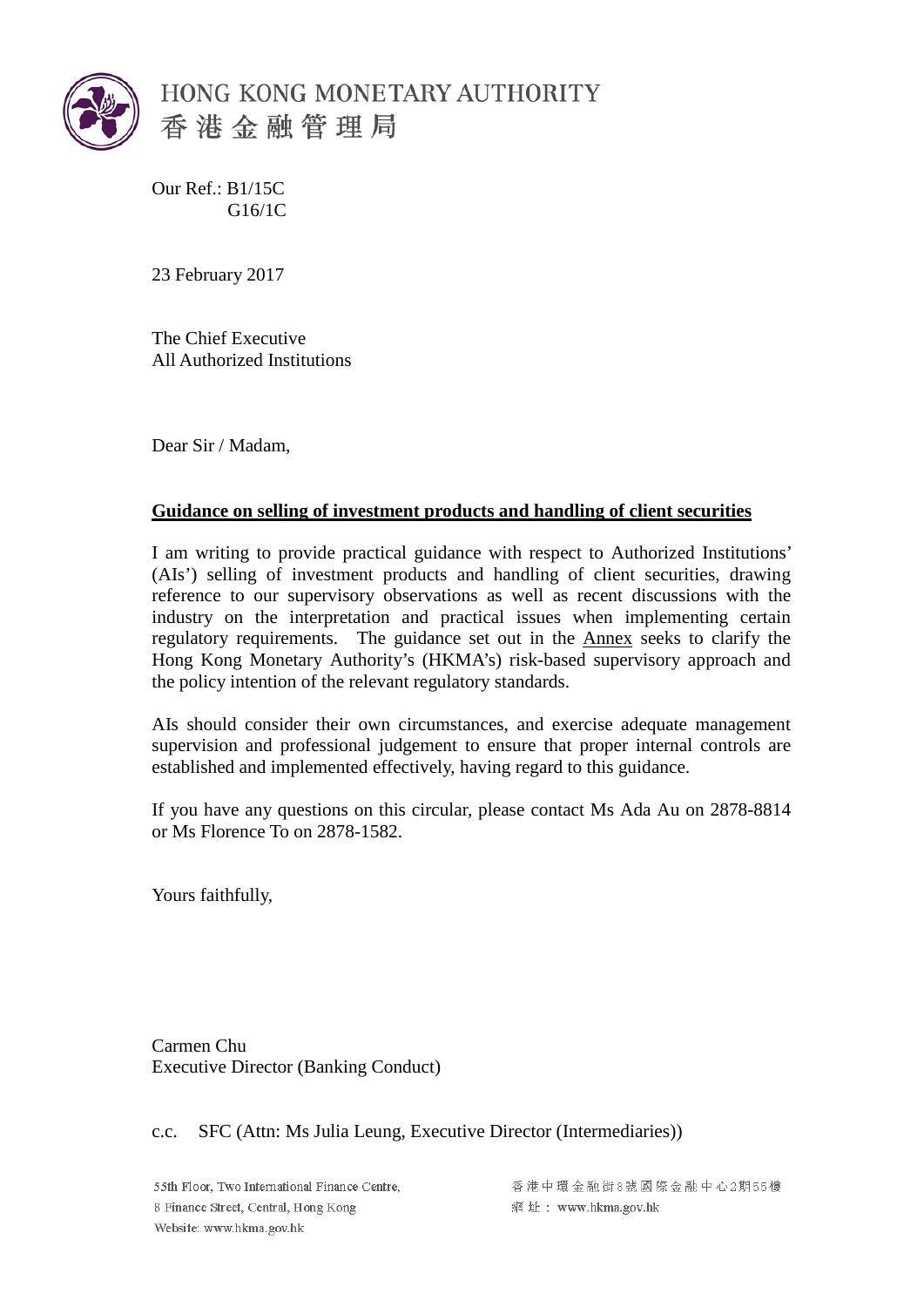

Our Ref.: B1/15C G16/1C

23 February 2017

The Chief Executive All Authorized Institutions

Dear Sir / Madam,

# **Guidance on selling of investment products and handling of client securities**

I am writing to provide practical guidance with respect to Authorized Institutions' (AIs') selling of investment products and handling of client securities, drawing reference to our supervisory observations as well as recent discussions with the industry on the interpretation and practical issues when implementing certain regulatory requirements. The guidance set out in the Annex seeks to clarify the Hong Kong Monetary Authority's (HKMA's) risk-based supervisory approach and the policy intention of the relevant regulatory standards.

AIs should consider their own circumstances, and exercise adequate management supervision and professional judgement to ensure that proper internal controls are established and implemented effectively, having regard to this guidance.

If you have any questions on this circular, please contact Ms Ada Au on 2878-8814 or Ms Florence To on 2878-1582.

Yours faithfully,

Carmen Chu Executive Director (Banking Conduct)

#### c.c. SFC (Attn: Ms Julia Leung, Executive Director (Intermediaries))

55th Floor. Two International Finance Centre. 8 Finance Street, Central, Hong Kong Website: www.hkma.gov.hk

香港中環金融街8號國際金融中心2期55樓 網址: www.hkma.gov.hk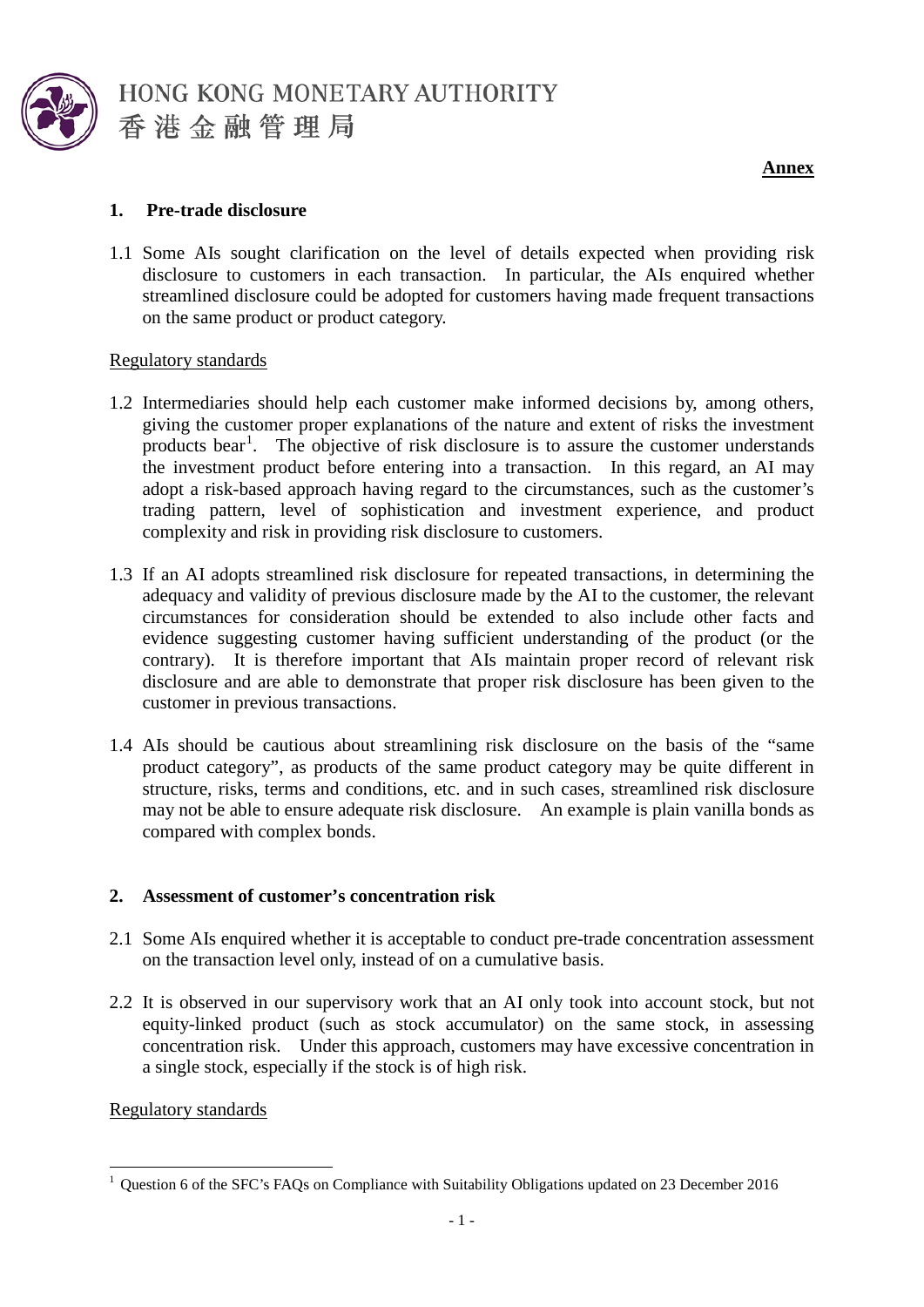

HONG KONG MONETARY AUTHORITY 香港金融管理局

**Annex**

# **1. Pre-trade disclosure**

1.1 Some AIs sought clarification on the level of details expected when providing risk disclosure to customers in each transaction. In particular, the AIs enquired whether streamlined disclosure could be adopted for customers having made frequent transactions on the same product or product category.

# Regulatory standards

- 1.2 Intermediaries should help each customer make informed decisions by, among others, giving the customer proper explanations of the nature and extent of risks the investment products bear<sup>[1](#page-1-0)</sup>. The objective of risk disclosure is to assure the customer understands the investment product before entering into a transaction. In this regard, an AI may adopt a risk-based approach having regard to the circumstances, such as the customer's trading pattern, level of sophistication and investment experience, and product complexity and risk in providing risk disclosure to customers.
- 1.3 If an AI adopts streamlined risk disclosure for repeated transactions, in determining the adequacy and validity of previous disclosure made by the AI to the customer, the relevant circumstances for consideration should be extended to also include other facts and evidence suggesting customer having sufficient understanding of the product (or the contrary). It is therefore important that AIs maintain proper record of relevant risk disclosure and are able to demonstrate that proper risk disclosure has been given to the customer in previous transactions.
- 1.4 AIs should be cautious about streamlining risk disclosure on the basis of the "same product category", as products of the same product category may be quite different in structure, risks, terms and conditions, etc. and in such cases, streamlined risk disclosure may not be able to ensure adequate risk disclosure. An example is plain vanilla bonds as compared with complex bonds.

# **2. Assessment of customer's concentration risk**

- 2.1 Some AIs enquired whether it is acceptable to conduct pre-trade concentration assessment on the transaction level only, instead of on a cumulative basis.
- 2.2 It is observed in our supervisory work that an AI only took into account stock, but not equity-linked product (such as stock accumulator) on the same stock, in assessing concentration risk. Under this approach, customers may have excessive concentration in a single stock, especially if the stock is of high risk.

# Regulatory standards

<span id="page-1-0"></span><sup>&</sup>lt;sup>1</sup> Question 6 of the SFC's FAQs on Compliance with Suitability Obligations updated on 23 December 2016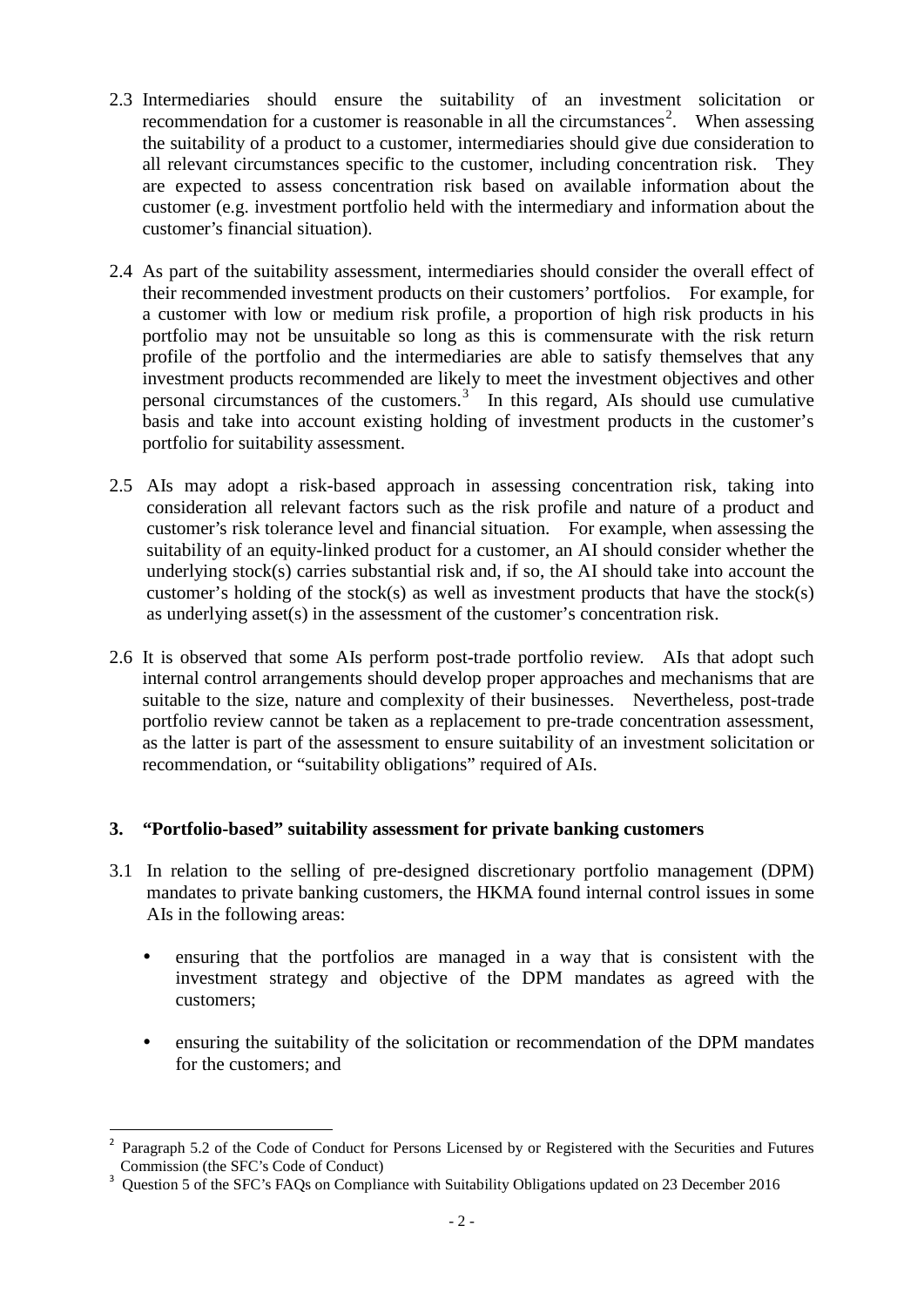- 2.3 Intermediaries should ensure the suitability of an investment solicitation or recommendation for a customer is reasonable in all the circumstances<sup>[2](#page-2-0)</sup>. When assessing the suitability of a product to a customer, intermediaries should give due consideration to all relevant circumstances specific to the customer, including concentration risk. They are expected to assess concentration risk based on available information about the customer (e.g. investment portfolio held with the intermediary and information about the customer's financial situation).
- 2.4 As part of the suitability assessment, intermediaries should consider the overall effect of their recommended investment products on their customers' portfolios. For example, for a customer with low or medium risk profile, a proportion of high risk products in his portfolio may not be unsuitable so long as this is commensurate with the risk return profile of the portfolio and the intermediaries are able to satisfy themselves that any investment products recommended are likely to meet the investment objectives and other personal circumstances of the customers.<sup>[3](#page-2-1)</sup> In this regard, AIs should use cumulative basis and take into account existing holding of investment products in the customer's portfolio for suitability assessment.
- 2.5 AIs may adopt a risk-based approach in assessing concentration risk, taking into consideration all relevant factors such as the risk profile and nature of a product and customer's risk tolerance level and financial situation. For example, when assessing the suitability of an equity-linked product for a customer, an AI should consider whether the underlying stock(s) carries substantial risk and, if so, the AI should take into account the customer's holding of the stock(s) as well as investment products that have the stock(s) as underlying asset(s) in the assessment of the customer's concentration risk.
- 2.6 It is observed that some AIs perform post-trade portfolio review. AIs that adopt such internal control arrangements should develop proper approaches and mechanisms that are suitable to the size, nature and complexity of their businesses. Nevertheless, post-trade portfolio review cannot be taken as a replacement to pre-trade concentration assessment, as the latter is part of the assessment to ensure suitability of an investment solicitation or recommendation, or "suitability obligations" required of AIs.

# **3. "Portfolio-based" suitability assessment for private banking customers**

- 3.1 In relation to the selling of pre-designed discretionary portfolio management (DPM) mandates to private banking customers, the HKMA found internal control issues in some AIs in the following areas:
	- ensuring that the portfolios are managed in a way that is consistent with the investment strategy and objective of the DPM mandates as agreed with the customers;
	- ensuring the suitability of the solicitation or recommendation of the DPM mandates for the customers; and

<span id="page-2-0"></span>Paragraph 5.2 of the Code of Conduct for Persons Licensed by or Registered with the Securities and Futures Commission (the SFC's Code of Conduct)

<span id="page-2-1"></span><sup>&</sup>lt;sup>3</sup> Ouestion 5 of the SFC's FAQs on Compliance with Suitability Obligations updated on 23 December 2016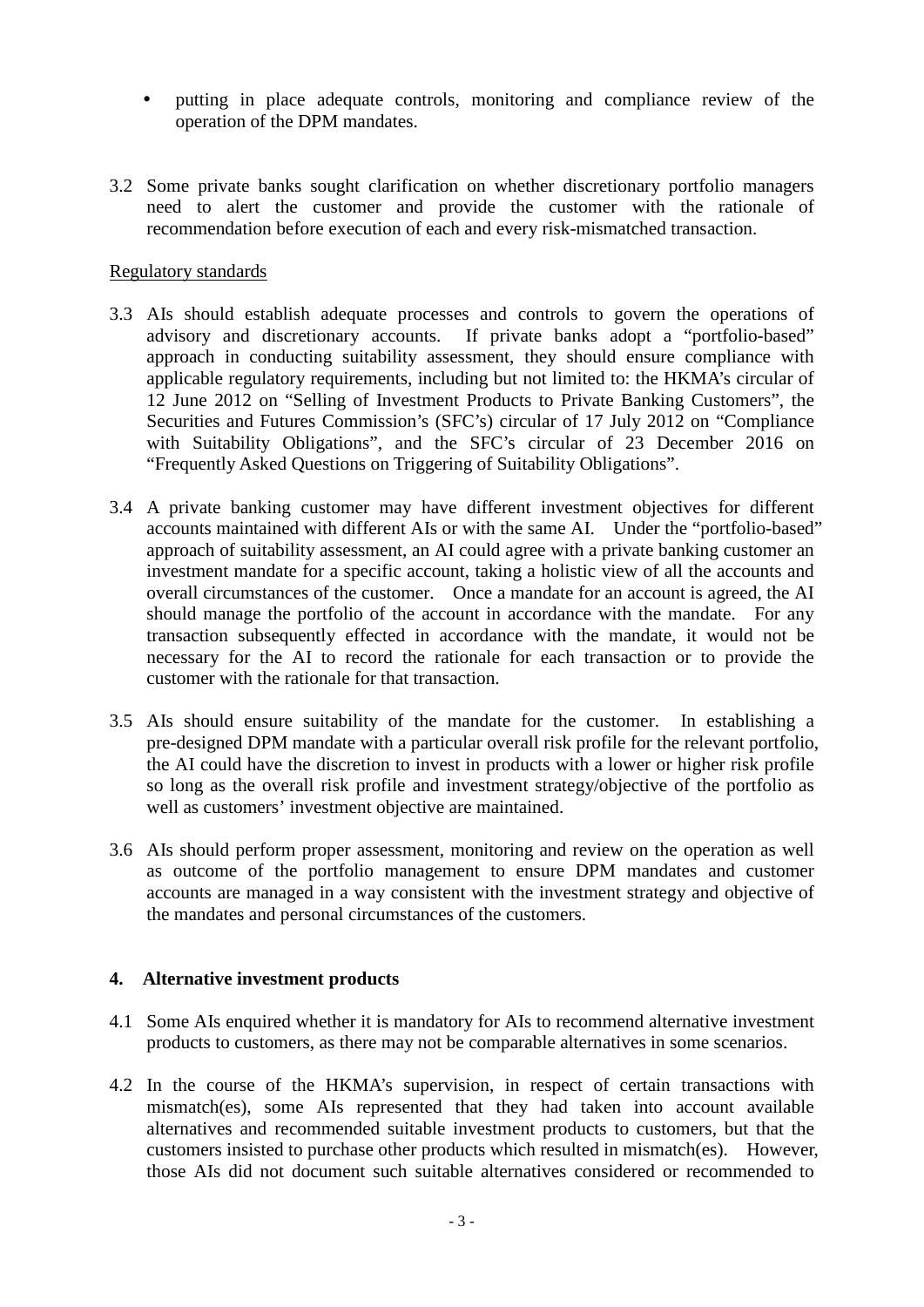- putting in place adequate controls, monitoring and compliance review of the operation of the DPM mandates.
- 3.2 Some private banks sought clarification on whether discretionary portfolio managers need to alert the customer and provide the customer with the rationale of recommendation before execution of each and every risk-mismatched transaction.

#### Regulatory standards

- 3.3 AIs should establish adequate processes and controls to govern the operations of advisory and discretionary accounts. If private banks adopt a "portfolio-based" approach in conducting suitability assessment, they should ensure compliance with applicable regulatory requirements, including but not limited to: the HKMA's circular of 12 June 2012 on "Selling of Investment Products to Private Banking Customers", the Securities and Futures Commission's (SFC's) circular of 17 July 2012 on "Compliance with Suitability Obligations", and the SFC's circular of 23 December 2016 on "Frequently Asked Questions on Triggering of Suitability Obligations".
- 3.4 A private banking customer may have different investment objectives for different accounts maintained with different AIs or with the same AI. Under the "portfolio-based" approach of suitability assessment, an AI could agree with a private banking customer an investment mandate for a specific account, taking a holistic view of all the accounts and overall circumstances of the customer. Once a mandate for an account is agreed, the AI should manage the portfolio of the account in accordance with the mandate. For any transaction subsequently effected in accordance with the mandate, it would not be necessary for the AI to record the rationale for each transaction or to provide the customer with the rationale for that transaction.
- 3.5 AIs should ensure suitability of the mandate for the customer. In establishing a pre-designed DPM mandate with a particular overall risk profile for the relevant portfolio, the AI could have the discretion to invest in products with a lower or higher risk profile so long as the overall risk profile and investment strategy/objective of the portfolio as well as customers' investment objective are maintained.
- 3.6 AIs should perform proper assessment, monitoring and review on the operation as well as outcome of the portfolio management to ensure DPM mandates and customer accounts are managed in a way consistent with the investment strategy and objective of the mandates and personal circumstances of the customers.

# **4. Alternative investment products**

- 4.1 Some AIs enquired whether it is mandatory for AIs to recommend alternative investment products to customers, as there may not be comparable alternatives in some scenarios.
- 4.2 In the course of the HKMA's supervision, in respect of certain transactions with mismatch(es), some AIs represented that they had taken into account available alternatives and recommended suitable investment products to customers, but that the customers insisted to purchase other products which resulted in mismatch(es). However, those AIs did not document such suitable alternatives considered or recommended to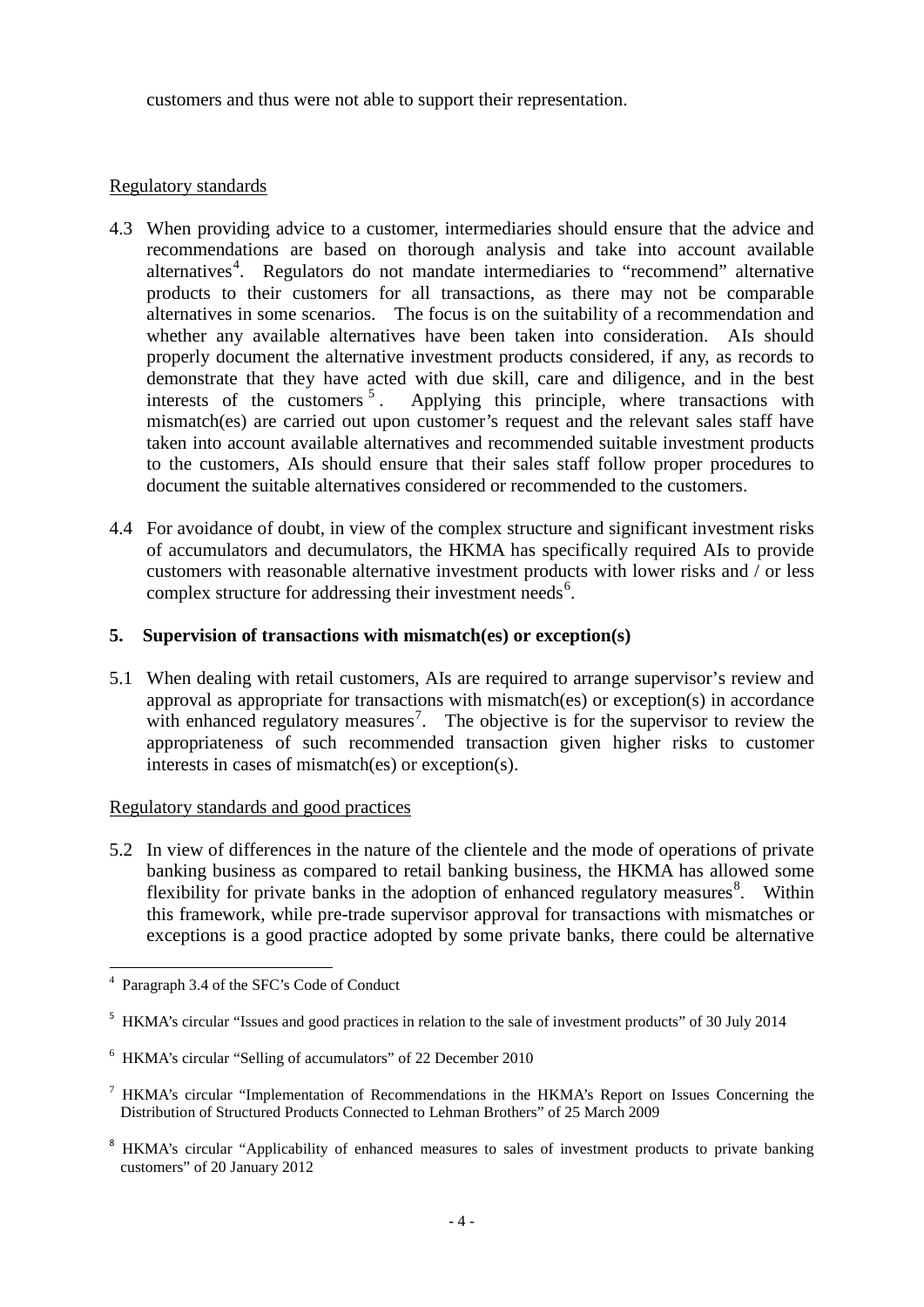customers and thus were not able to support their representation.

#### Regulatory standards

- 4.3 When providing advice to a customer, intermediaries should ensure that the advice and recommendations are based on thorough analysis and take into account available alternatives<sup>[4](#page-4-0)</sup>. Regulators do not mandate intermediaries to "recommend" alternative products to their customers for all transactions, as there may not be comparable alternatives in some scenarios. The focus is on the suitability of a recommendation and whether any available alternatives have been taken into consideration. AIs should properly document the alternative investment products considered, if any, as records to demonstrate that they have acted with due skill, care and diligence, and in the best interests of the customers<sup>5</sup>. Applying this principle, where transactions with Applying this principle, where transactions with mismatch(es) are carried out upon customer's request and the relevant sales staff have taken into account available alternatives and recommended suitable investment products to the customers, AIs should ensure that their sales staff follow proper procedures to document the suitable alternatives considered or recommended to the customers.
- 4.4 For avoidance of doubt, in view of the complex structure and significant investment risks of accumulators and decumulators, the HKMA has specifically required AIs to provide customers with reasonable alternative investment products with lower risks and / or less complex structure for addressing their investment needs<sup>[6](#page-4-2)</sup>.

#### **5. Supervision of transactions with mismatch(es) or exception(s)**

5.1 When dealing with retail customers, AIs are required to arrange supervisor's review and approval as appropriate for transactions with mismatch(es) or exception(s) in accordance with enhanced regulatory measures<sup>[7](#page-4-3)</sup>. The objective is for the supervisor to review the appropriateness of such recommended transaction given higher risks to customer interests in cases of mismatch(es) or exception(s).

Regulatory standards and good practices

5.2 In view of differences in the nature of the clientele and the mode of operations of private banking business as compared to retail banking business, the HKMA has allowed some flexibility for private banks in the adoption of enhanced regulatory measures<sup>[8](#page-4-4)</sup>. Within this framework, while pre-trade supervisor approval for transactions with mismatches or exceptions is a good practice adopted by some private banks, there could be alternative

<span id="page-4-0"></span> <sup>4</sup> Paragraph 3.4 of the SFC's Code of Conduct

<span id="page-4-1"></span><sup>&</sup>lt;sup>5</sup> HKMA's circular "Issues and good practices in relation to the sale of investment products" of 30 July 2014

<span id="page-4-2"></span><sup>6</sup> HKMA's circular "Selling of accumulators" of 22 December 2010

<span id="page-4-3"></span><sup>7</sup> HKMA's circular "Implementation of Recommendations in the HKMA's Report on Issues Concerning the Distribution of Structured Products Connected to Lehman Brothers" of 25 March 2009

<span id="page-4-4"></span><sup>&</sup>lt;sup>8</sup> HKMA's circular "Applicability of enhanced measures to sales of investment products to private banking customers" of 20 January 2012